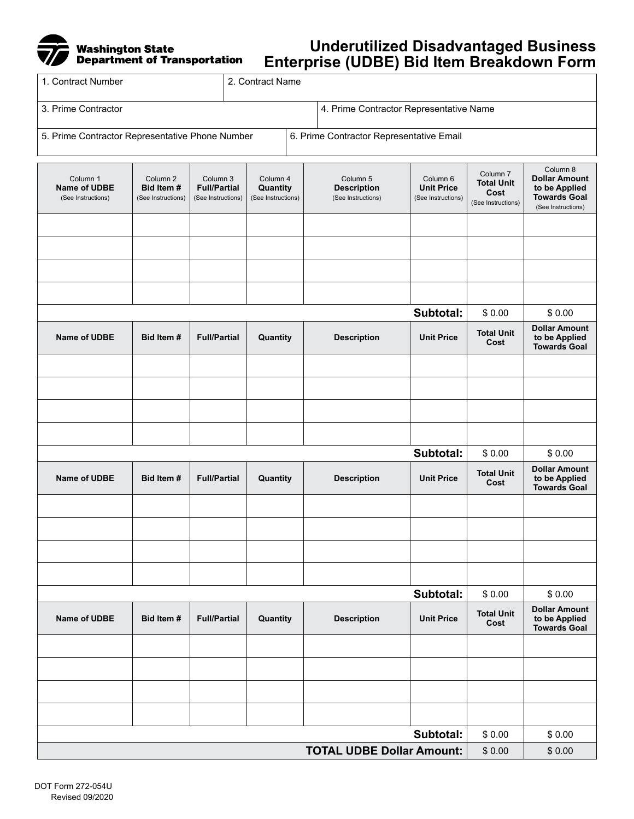## Washington State<br>Department of Transportation

## **Underutilized Disadvantaged Business Enterprise (UDBE) Bid Item Breakdown Form**

| 1. Contract Number                              | ี่ 2. Contract Name |                                          |  |  |
|-------------------------------------------------|---------------------|------------------------------------------|--|--|
| l 3. Prime Contractor                           |                     | 4. Prime Contractor Representative Name  |  |  |
| 5. Prime Contractor Representative Phone Number |                     | 6. Prime Contractor Representative Email |  |  |

| Column 1<br><b>Name of UDBE</b><br>(See Instructions) | Column <sub>2</sub><br>Bid Item#<br>(See Instructions) | Column 3<br><b>Full/Partial</b><br>(See Instructions) | Column 4<br>Quantity<br>(See Instructions) | Column 5<br><b>Description</b><br>(See Instructions) | Column 6<br><b>Unit Price</b><br>(See Instructions) | Column <sub>7</sub><br><b>Total Unit</b><br>Cost<br>(See Instructions) | Column 8<br><b>Dollar Amount</b><br>to be Applied<br><b>Towards Goal</b><br>(See Instructions) |
|-------------------------------------------------------|--------------------------------------------------------|-------------------------------------------------------|--------------------------------------------|------------------------------------------------------|-----------------------------------------------------|------------------------------------------------------------------------|------------------------------------------------------------------------------------------------|
|                                                       |                                                        |                                                       |                                            |                                                      |                                                     |                                                                        |                                                                                                |
|                                                       |                                                        |                                                       |                                            |                                                      |                                                     |                                                                        |                                                                                                |
|                                                       |                                                        |                                                       |                                            |                                                      |                                                     |                                                                        |                                                                                                |
|                                                       |                                                        |                                                       |                                            |                                                      |                                                     |                                                                        |                                                                                                |
|                                                       |                                                        |                                                       |                                            |                                                      | Subtotal:                                           | \$0.00                                                                 | \$0.00                                                                                         |
| Name of UDBE                                          | Bid Item#                                              | <b>Full/Partial</b>                                   | Quantity                                   | <b>Description</b>                                   | <b>Unit Price</b>                                   | <b>Total Unit</b><br>Cost                                              | <b>Dollar Amount</b><br>to be Applied<br><b>Towards Goal</b>                                   |
|                                                       |                                                        |                                                       |                                            |                                                      |                                                     |                                                                        |                                                                                                |
|                                                       |                                                        |                                                       |                                            |                                                      |                                                     |                                                                        |                                                                                                |
|                                                       |                                                        |                                                       |                                            |                                                      |                                                     |                                                                        |                                                                                                |
|                                                       |                                                        |                                                       |                                            |                                                      |                                                     |                                                                        |                                                                                                |
|                                                       |                                                        |                                                       |                                            |                                                      | Subtotal:                                           | \$0.00                                                                 | \$0.00                                                                                         |
| Name of UDBE                                          | Bid Item#                                              | <b>Full/Partial</b>                                   | Quantity                                   | <b>Description</b>                                   | <b>Unit Price</b>                                   | <b>Total Unit</b><br>Cost                                              | <b>Dollar Amount</b><br>to be Applied<br><b>Towards Goal</b>                                   |
|                                                       |                                                        |                                                       |                                            |                                                      |                                                     |                                                                        |                                                                                                |
|                                                       |                                                        |                                                       |                                            |                                                      |                                                     |                                                                        |                                                                                                |
|                                                       |                                                        |                                                       |                                            |                                                      |                                                     |                                                                        |                                                                                                |
|                                                       |                                                        |                                                       |                                            |                                                      |                                                     |                                                                        |                                                                                                |
|                                                       |                                                        |                                                       |                                            |                                                      | Subtotal:                                           | \$0.00                                                                 | \$0.00                                                                                         |
| Name of UDBE                                          | Bid Item#                                              | <b>Full/Partial</b>                                   | Quantity                                   | <b>Description</b>                                   | <b>Unit Price</b>                                   | <b>Total Unit</b><br>Cost                                              | <b>Dollar Amount</b><br>to be Applied<br><b>Towards Goal</b>                                   |
|                                                       |                                                        |                                                       |                                            |                                                      |                                                     |                                                                        |                                                                                                |
|                                                       |                                                        |                                                       |                                            |                                                      |                                                     |                                                                        |                                                                                                |
|                                                       |                                                        |                                                       |                                            |                                                      |                                                     |                                                                        |                                                                                                |
|                                                       |                                                        |                                                       |                                            |                                                      |                                                     |                                                                        |                                                                                                |
| Subtotal:                                             |                                                        |                                                       |                                            |                                                      |                                                     | \$0.00                                                                 | \$0.00                                                                                         |
| <b>TOTAL UDBE Dollar Amount:</b>                      |                                                        |                                                       |                                            |                                                      |                                                     | \$0.00                                                                 | \$0.00                                                                                         |